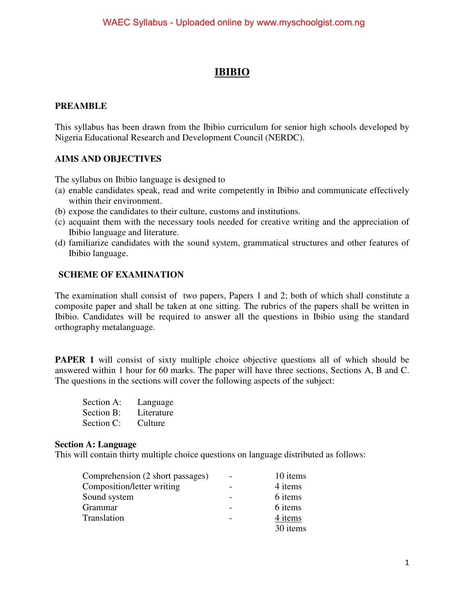# **IBIBIO**

### **PREAMBLE**

This syllabus has been drawn from the Ibibio curriculum for senior high schools developed by Nigeria Educational Research and Development Council (NERDC).

# **AIMS AND OBJECTIVES**

The syllabus on Ibibio language is designed to

- (a) enable candidates speak, read and write competently in Ibibio and communicate effectively within their environment.
- (b) expose the candidates to their culture, customs and institutions.
- (c) acquaint them with the necessary tools needed for creative writing and the appreciation of Ibibio language and literature.
- (d) familiarize candidates with the sound system, grammatical structures and other features of Ibibio language.

## **SCHEME OF EXAMINATION**

The examination shall consist of two papers, Papers 1 and 2; both of which shall constitute a composite paper and shall be taken at one sitting. The rubrics of the papers shall be written in Ibibio. Candidates will be required to answer all the questions in Ibibio using the standard orthography metalanguage.

**PAPER 1** will consist of sixty multiple choice objective questions all of which should be answered within 1 hour for 60 marks. The paper will have three sections, Sections A, B and C. The questions in the sections will cover the following aspects of the subject:

| Section A: | Language   |
|------------|------------|
| Section B: | Literature |
| Section C: | Culture    |

### **Section A: Language**

This will contain thirty multiple choice questions on language distributed as follows:

| Comprehension (2 short passages) | $\overline{\phantom{a}}$ | 10 items |
|----------------------------------|--------------------------|----------|
| Composition/letter writing       |                          | 4 items  |
| Sound system                     |                          | 6 items  |
| Grammar                          |                          | 6 items  |
| Translation                      |                          | 4 items  |
|                                  |                          | 30 items |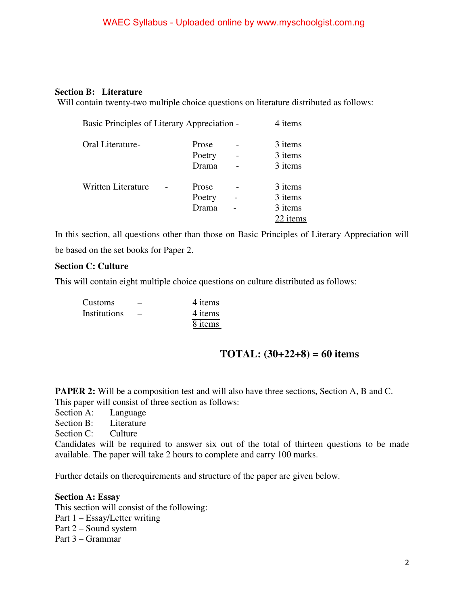### WAEC Syllabus - Uploaded online by www.myschoolgist.com.ng

#### **Section B: Literature**

Will contain twenty-two multiple choice questions on literature distributed as follows:

|                           | Basic Principles of Literary Appreciation - |                 |  | 4 items            |
|---------------------------|---------------------------------------------|-----------------|--|--------------------|
| Oral Literature-          |                                             | Prose<br>Poetry |  | 3 items<br>3 items |
|                           |                                             | Drama           |  | 3 items            |
| <b>Written Literature</b> |                                             | Prose           |  | 3 items            |
|                           |                                             | Poetry          |  | 3 items            |
|                           |                                             | Drama           |  | 3 items            |
|                           |                                             |                 |  | 22 items           |

In this section, all questions other than those on Basic Principles of Literary Appreciation will be based on the set books for Paper 2.

#### **Section C: Culture**

This will contain eight multiple choice questions on culture distributed as follows:

| <b>Customs</b> | –               | 4 items |
|----------------|-----------------|---------|
| Institutions   | $\qquad \qquad$ | 4 items |
|                |                 | 8 items |

### **TOTAL: (30+22+8) = 60 items**

**PAPER 2:** Will be a composition test and will also have three sections, Section A, B and C. This paper will consist of three section as follows:

Section A: Language

Section B: Literature

Section C: Culture

Candidates will be required to answer six out of the total of thirteen questions to be made available. The paper will take 2 hours to complete and carry 100 marks.

Further details on therequirements and structure of the paper are given below.

#### **Section A: Essay**

This section will consist of the following:

- Part 1 Essay/Letter writing
- Part 2 Sound system

Part 3 – Grammar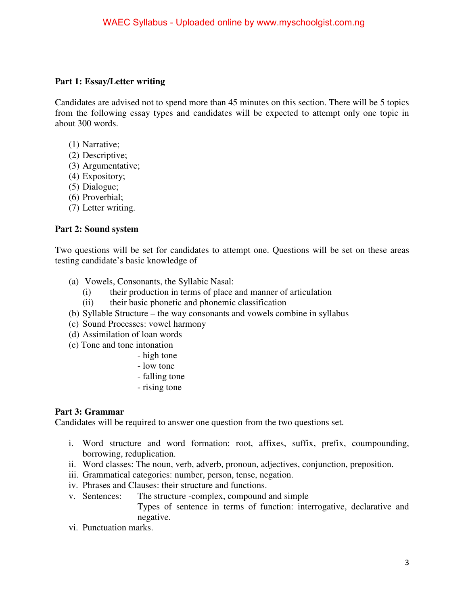### **Part 1: Essay/Letter writing**

Candidates are advised not to spend more than 45 minutes on this section. There will be 5 topics from the following essay types and candidates will be expected to attempt only one topic in about 300 words.

- (1) Narrative;
- (2) Descriptive;
- (3) Argumentative;
- (4) Expository;
- (5) Dialogue;
- (6) Proverbial;
- (7) Letter writing.

### **Part 2: Sound system**

Two questions will be set for candidates to attempt one. Questions will be set on these areas testing candidate's basic knowledge of

- (a) Vowels, Consonants, the Syllabic Nasal:
	- (i) their production in terms of place and manner of articulation
	- (ii) their basic phonetic and phonemic classification
- (b) Syllable Structure the way consonants and vowels combine in syllabus
- (c) Sound Processes: vowel harmony
- (d) Assimilation of loan words
- (e) Tone and tone intonation
	- high tone
	- low tone
	- falling tone
	- rising tone

### **Part 3: Grammar**

Candidates will be required to answer one question from the two questions set.

- i. Word structure and word formation: root, affixes, suffix, prefix, coumpounding, borrowing, reduplication.
- ii. Word classes: The noun, verb, adverb, pronoun, adjectives, conjunction, preposition.
- iii. Grammatical categories: number, person, tense, negation.
- iv. Phrases and Clauses: their structure and functions.
- v. Sentences: The structure -complex, compound and simple Types of sentence in terms of function: interrogative, declarative and negative.
- vi. Punctuation marks.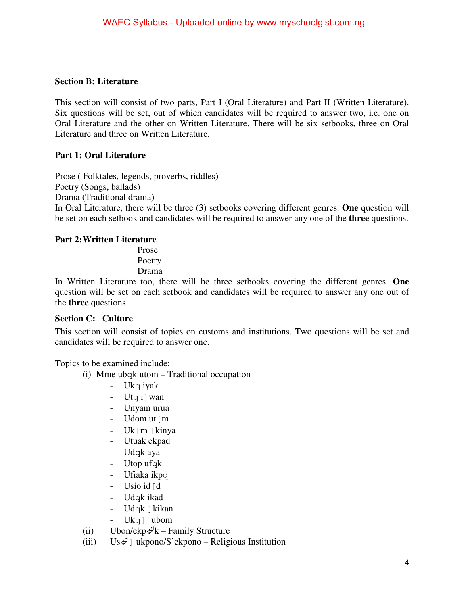### **Section B: Literature**

This section will consist of two parts, Part I (Oral Literature) and Part II (Written Literature). Six questions will be set, out of which candidates will be required to answer two, i.e. one on Oral Literature and the other on Written Literature. There will be six setbooks, three on Oral Literature and three on Written Literature.

## **Part 1: Oral Literature**

Prose ( Folktales, legends, proverbs, riddles)

Poetry (Songs, ballads)

Drama (Traditional drama)

In Oral Literature, there will be three (3) setbooks covering different genres. **One** question will be set on each setbook and candidates will be required to answer any one of the **three** questions.

### **Part 2: Written Literature**

Prose Poetry Drama

In Written Literature too, there will be three setbooks covering the different genres. **One** question will be set on each setbook and candidates will be required to answer any one out of the **three** questions.

### **Section C: Culture**

This section will consist of topics on customs and institutions. Two questions will be set and candidates will be required to answer one.

Topics to be examined include:

- (i) Mme ubqk utom  $-$  Traditional occupation
	- Ukq iyak
	- Utq i wan
	- Unyam urua
	- Udom ut [m]
	- Uk $[m]$ kinya
	- Utuak ekpad
	- Udqk aya
	- Utop ufqk
	- Ufiaka ikpq
	- Usio id  $\lceil d \rceil$
	- Udqk ikad
	- Udqk | kikan
	- Ukq] ubom
- (ii) Ubon/ekp $\mathcal{F}$ k Family Structure
- (iii)  $Us \notin J$  ukpono/S'ekpono Religious Institution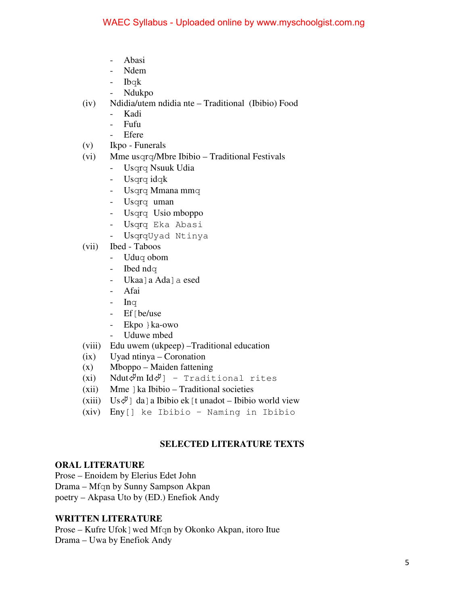- Abasi
- Ndem
- Ibqk
- Ndukpo
- (iv) Ndidia/utem ndidia nte Traditional (Ibibio) Food
	- Kadi
	- Fufu
	- Efere
- (v) Ikpo Funerals
- (vi) Mme usqrq/Mbre Ibibio Traditional Festivals
	- Usqrq Nsuuk Udia
	- Usqrq idqk
	- Usqrq Mmana mmq
	- Usqrq uman
	- Usqrq Usio mboppo
	- Usqrq Eka Abasi
	- UsqrqUyad Ntinya
- (vii) Ibed Taboos
	- Uduq obom
	- **Ibed ndq**
	- Ukaa]a Ada]a esed
	- Afai
	- $-$  Inq
	- Ef [be/use
	- Ekpo }ka-owo
	- Uduwe mbed
- (viii) Edu uwem (ukpeep) –Traditional education
- (ix) Uyad ntinya Coronation
- (x) Mboppo Maiden fattening
- (xi) Ndut $\oint$ m Id $\oint$ ] Traditional rites
- (xii) Mme ]ka Ibibio Traditional societies
- (xiii) Us $\Psi$ ] da] a Ibibio ek [t unadot Ibibio world view
- (xiv) Eny[] ke Ibibio Naming in Ibibio

### **SELECTED LITERATURE TEXTS**

### **ORAL LITERATURE**

- Prose Enoidem by Elerius Edet John
- Drama Mfqn by Sunny Sampson Akpan
- poetry Akpasa Uto by (ED.) Enefiok Andy

### **WRITTEN LITERATURE**

Prose – Kufre Ufok]wed Mfqn by Okonko Akpan, itoro Itue Drama – Uwa by Enefiok Andy